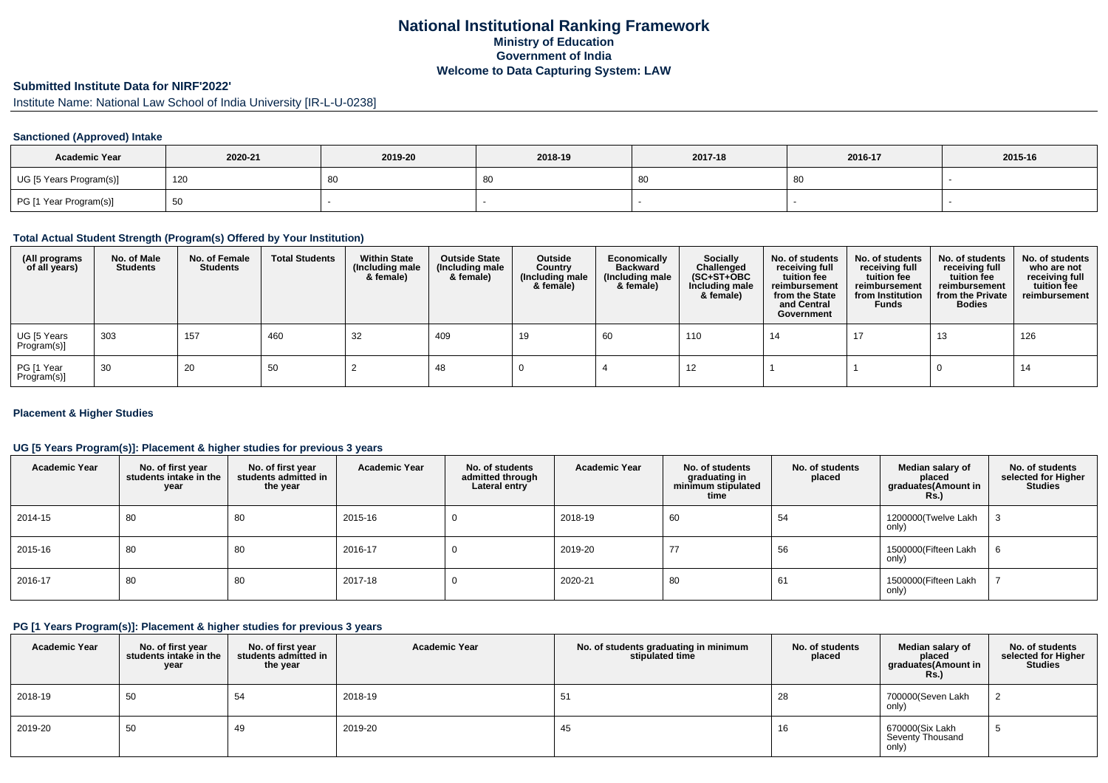# **National Institutional Ranking FrameworkMinistry of Education Government of IndiaWelcome to Data Capturing System: LAW**

# **Submitted Institute Data for NIRF'2022'**

Institute Name: National Law School of India University [IR-L-U-0238]

### **Sanctioned (Approved) Intake**

| <b>Academic Year</b>    | 2020-21 | 2019-20 | 2018-19 | 2017-18 | 2016-17 | 2015-16 |
|-------------------------|---------|---------|---------|---------|---------|---------|
| UG [5 Years Program(s)] | 120     | 80      | -80     |         | 80      |         |
| PG [1 Year Program(s)]  | ັບບ     |         |         |         |         |         |

### **Total Actual Student Strength (Program(s) Offered by Your Institution)**

| (All programs<br>of all years) | No. of Male<br><b>Students</b> | No. of Female<br><b>Students</b> | <b>Total Students</b> | <b>Within State</b><br>(Including male<br>& female) | <b>Outside State</b><br>(Including male<br>& female) | Outside<br>Country<br>(Including male<br>& female) | Economically<br><b>Backward</b><br>(Including male<br>& female) | <b>Socially</b><br>Challenged<br>$(SC+ST+OBC)$<br>Including male<br>& female) | No. of students<br>receiving full<br>tuition fee<br>reimbursement<br>from the State<br>and Central<br>Government | No. of students<br>receiving full<br>tuition fee<br>reimbursement<br>from Institution<br><b>Funds</b> | No. of students<br>receiving full<br>tuition fee<br>reimbursement<br>from the Private<br><b>Bodies</b> | No. of students<br>who are not<br>receiving full<br>tuition fee<br>reimbursement |
|--------------------------------|--------------------------------|----------------------------------|-----------------------|-----------------------------------------------------|------------------------------------------------------|----------------------------------------------------|-----------------------------------------------------------------|-------------------------------------------------------------------------------|------------------------------------------------------------------------------------------------------------------|-------------------------------------------------------------------------------------------------------|--------------------------------------------------------------------------------------------------------|----------------------------------------------------------------------------------|
| UG [5 Years<br>Program(s)]     | 303                            | 157                              | 460                   | 32                                                  | 409                                                  | 19                                                 | 60                                                              | 110                                                                           | 14                                                                                                               | 17                                                                                                    | 13                                                                                                     | 126                                                                              |
| PG [1 Year<br>Program(s)]      | 30                             | 20                               | 50                    |                                                     | -48                                                  |                                                    |                                                                 | 12                                                                            |                                                                                                                  |                                                                                                       |                                                                                                        | 14                                                                               |

#### **Placement & Higher Studies**

#### **UG [5 Years Program(s)]: Placement & higher studies for previous 3 years**

| <b>Academic Year</b> | No. of first year<br>students intake in the<br>year | No. of first year<br>students admitted in<br>the year | <b>Academic Year</b> | No. of students<br>admitted through<br>Lateral entry | <b>Academic Year</b> | No. of students<br>graduating in<br>minimum stipulated<br>time | No. of students<br>placed | Median salary of<br>placed<br>graduates(Amount in<br>Rs.) | No. of students<br>selected for Higher<br><b>Studies</b> |
|----------------------|-----------------------------------------------------|-------------------------------------------------------|----------------------|------------------------------------------------------|----------------------|----------------------------------------------------------------|---------------------------|-----------------------------------------------------------|----------------------------------------------------------|
| 2014-15              | 80                                                  | 80                                                    | 2015-16              |                                                      | 2018-19              | 60                                                             | 54                        | 1200000(Twelve Lakh<br>only)                              |                                                          |
| 2015-16              | 80                                                  | 80                                                    | 2016-17              |                                                      | 2019-20              | 77                                                             | 56                        | 1500000(Fifteen Lakh<br>only)                             | O                                                        |
| 2016-17              | 80                                                  | 80                                                    | 2017-18              |                                                      | 2020-21              | 80                                                             | 61                        | 1500000(Fifteen Lakh<br>only)                             |                                                          |

### **PG [1 Years Program(s)]: Placement & higher studies for previous 3 years**

| <b>Academic Year</b> | No. of first year<br>students intake in the<br>year | No. of first vear<br>students admitted in<br>the year | <b>Academic Year</b> | No. of students graduating in minimum<br>stipulated time | No. of students<br>placed | Median salary of<br>placed<br>graduates(Amount in<br><b>Rs.)</b> | No. of students<br>selected for Higher<br><b>Studies</b> |
|----------------------|-----------------------------------------------------|-------------------------------------------------------|----------------------|----------------------------------------------------------|---------------------------|------------------------------------------------------------------|----------------------------------------------------------|
| 2018-19              | 50                                                  | 54                                                    | 2018-19              | 51                                                       | 28                        | 700000(Seven Lakh<br>only)                                       | ∼                                                        |
| 2019-20              | 50                                                  | 49                                                    | 2019-20              | 45                                                       | 16                        | 670000(Six Lakh<br>Seventy Thousand<br>only)                     | - 1                                                      |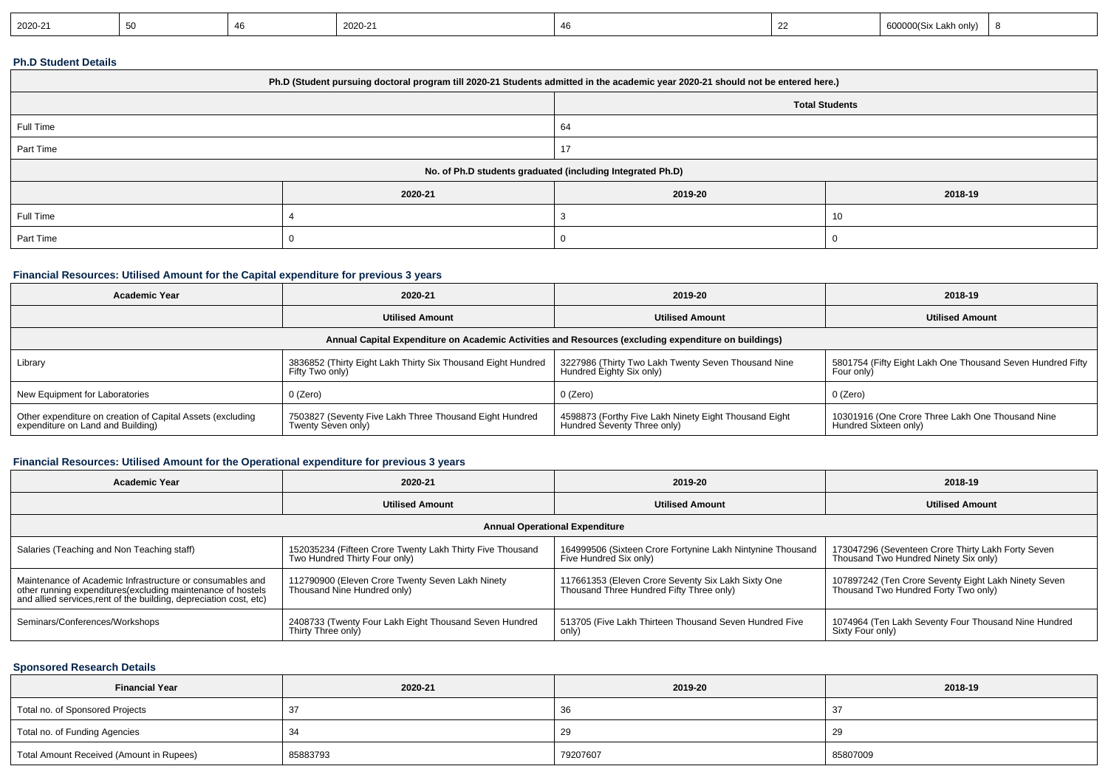| 2020-21<br>2020-21<br>akh onlv) |
|---------------------------------|
|---------------------------------|

#### **Ph.D Student Details**

| Ph.D (Student pursuing doctoral program till 2020-21 Students admitted in the academic year 2020-21 should not be entered here.) |         |                       |         |  |
|----------------------------------------------------------------------------------------------------------------------------------|---------|-----------------------|---------|--|
|                                                                                                                                  |         | <b>Total Students</b> |         |  |
| Full Time                                                                                                                        |         | 64                    |         |  |
| Part Time                                                                                                                        |         |                       |         |  |
| No. of Ph.D students graduated (including Integrated Ph.D)                                                                       |         |                       |         |  |
|                                                                                                                                  | 2020-21 | 2019-20               | 2018-19 |  |
| Full Time                                                                                                                        |         |                       | 10      |  |
| Part Time                                                                                                                        |         |                       |         |  |

#### **Financial Resources: Utilised Amount for the Capital expenditure for previous 3 years**

| <b>Academic Year</b>                                                                                 | 2020-21                                                                         | 2019-20                                                                              | 2018-19                                                                   |  |  |  |
|------------------------------------------------------------------------------------------------------|---------------------------------------------------------------------------------|--------------------------------------------------------------------------------------|---------------------------------------------------------------------------|--|--|--|
|                                                                                                      | <b>Utilised Amount</b>                                                          | <b>Utilised Amount</b>                                                               | <b>Utilised Amount</b>                                                    |  |  |  |
| Annual Capital Expenditure on Academic Activities and Resources (excluding expenditure on buildings) |                                                                                 |                                                                                      |                                                                           |  |  |  |
| Library                                                                                              | 3836852 (Thirty Eight Lakh Thirty Six Thousand Eight Hundred<br>Fifty Two only) | 3227986 (Thirty Two Lakh Twenty Seven Thousand Nine<br>Hundred Eighty Six only)      | 5801754 (Fifty Eight Lakh One Thousand Seven Hundred Fifty<br>Four only)  |  |  |  |
| New Equipment for Laboratories                                                                       | 0 (Zero)                                                                        | 0 (Zero)                                                                             | 0 (Zero)                                                                  |  |  |  |
| Other expenditure on creation of Capital Assets (excluding<br>expenditure on Land and Building)      | 7503827 (Seventy Five Lakh Three Thousand Eight Hundred<br>Twenty Seven only)   | 4598873 (Forthy Five Lakh Ninety Eight Thousand Eight<br>Hundred Seventy Three only) | 10301916 (One Crore Three Lakh One Thousand Nine<br>Hundred Sixteen only) |  |  |  |

# **Financial Resources: Utilised Amount for the Operational expenditure for previous 3 years**

| <b>Academic Year</b>                                                                                                                                                                            | 2020-21                                                                                    | 2019-20                                                                                        | 2018-19                                                                                      |  |  |  |
|-------------------------------------------------------------------------------------------------------------------------------------------------------------------------------------------------|--------------------------------------------------------------------------------------------|------------------------------------------------------------------------------------------------|----------------------------------------------------------------------------------------------|--|--|--|
|                                                                                                                                                                                                 | <b>Utilised Amount</b>                                                                     | <b>Utilised Amount</b>                                                                         | <b>Utilised Amount</b>                                                                       |  |  |  |
| <b>Annual Operational Expenditure</b>                                                                                                                                                           |                                                                                            |                                                                                                |                                                                                              |  |  |  |
| Salaries (Teaching and Non Teaching staff)                                                                                                                                                      | 152035234 (Fifteen Crore Twenty Lakh Thirty Five Thousand<br>Two Hundred Thirty Four only) | 164999506 (Sixteen Crore Fortynine Lakh Nintynine Thousand<br>Five Hundred Six only)           | 173047296 (Seventeen Crore Thirty Lakh Forty Seven<br>Thousand Two Hundred Ninety Six only)  |  |  |  |
| Maintenance of Academic Infrastructure or consumables and<br>other running expenditures (excluding maintenance of hostels<br>and allied services, rent of the building, depreciation cost, etc) | 112790900 (Eleven Crore Twenty Seven Lakh Ninety<br>Thousand Nine Hundred only)            | 117661353 (Eleven Crore Seventy Six Lakh Sixty One<br>Thousand Three Hundred Fifty Three only) | 107897242 (Ten Crore Seventy Eight Lakh Ninety Seven<br>Thousand Two Hundred Forty Two only) |  |  |  |
| Seminars/Conferences/Workshops                                                                                                                                                                  | 2408733 (Twenty Four Lakh Eight Thousand Seven Hundred<br>Thirty Three only)               | 513705 (Five Lakh Thirteen Thousand Seven Hundred Five<br>only)                                | 1074964 (Ten Lakh Seventy Four Thousand Nine Hundred<br>Sixty Four only)                     |  |  |  |

# **Sponsored Research Details**

| <b>Financial Year</b>                    | 2020-21  | 2019-20  | 2018-19  |
|------------------------------------------|----------|----------|----------|
| Total no. of Sponsored Projects          |          | 36       | -37      |
| Total no. of Funding Agencies            |          | 29       | 29       |
| Total Amount Received (Amount in Rupees) | 85883793 | 79207607 | 85807009 |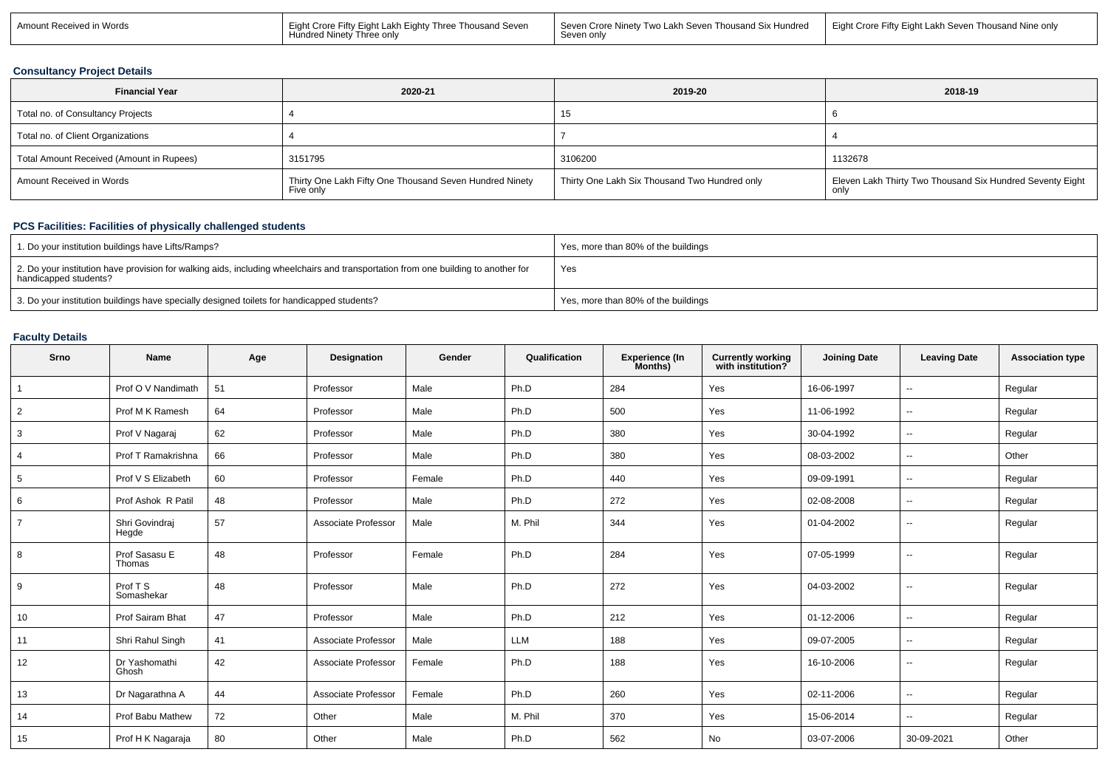| Amount Received in Words | l Eight Crore Fifty Eight Lakh Eighty Three Thousand Seven<br>Hundred Ninety Three only | Seven Crore Ninety Two Lakh Seven Thousand Six Hundred   Eight Crore Fifty Eight Lakh Seven Thousand Nine only<br>Seven onlv |  |
|--------------------------|-----------------------------------------------------------------------------------------|------------------------------------------------------------------------------------------------------------------------------|--|
|                          |                                                                                         |                                                                                                                              |  |

### **Consultancy Project Details**

| <b>Financial Year</b>                    | 2020-21                                                              | 2019-20                                       | 2018-19                                                            |
|------------------------------------------|----------------------------------------------------------------------|-----------------------------------------------|--------------------------------------------------------------------|
| Total no. of Consultancy Projects        |                                                                      | 15.                                           |                                                                    |
| Total no. of Client Organizations        |                                                                      |                                               |                                                                    |
| Total Amount Received (Amount in Rupees) | 3151795                                                              | 3106200                                       | 1132678                                                            |
| Amount Received in Words                 | Thirty One Lakh Fifty One Thousand Seven Hundred Ninety<br>Five only | Thirty One Lakh Six Thousand Two Hundred only | Eleven Lakh Thirty Two Thousand Six Hundred Seventy Eight  <br>onl |

# **PCS Facilities: Facilities of physically challenged students**

| 1. Do your institution buildings have Lifts/Ramps?                                                                                                         | Yes, more than 80% of the buildings |
|------------------------------------------------------------------------------------------------------------------------------------------------------------|-------------------------------------|
| 2. Do your institution have provision for walking aids, including wheelchairs and transportation from one building to another for<br>handicapped students? | Yes                                 |
| 3. Do your institution buildings have specially designed toilets for handicapped students?                                                                 | Yes, more than 80% of the buildings |

# **Faculty Details**

| Srno            | <b>Name</b>             | Age | Designation         | Gender | Qualification | Experience (In<br>Months) | <b>Currently working</b><br>with institution? | <b>Joining Date</b> | <b>Leaving Date</b>      | <b>Association type</b> |
|-----------------|-------------------------|-----|---------------------|--------|---------------|---------------------------|-----------------------------------------------|---------------------|--------------------------|-------------------------|
|                 | Prof O V Nandimath      | 51  | Professor           | Male   | Ph.D          | 284                       | Yes                                           | 16-06-1997          | $\overline{\phantom{a}}$ | Regular                 |
| $\overline{2}$  | Prof M K Ramesh         | 64  | Professor           | Male   | Ph.D          | 500                       | Yes                                           | 11-06-1992          | $\sim$                   | Regular                 |
| 3               | Prof V Nagaraj          | 62  | Professor           | Male   | Ph.D          | 380                       | Yes                                           | 30-04-1992          | $\sim$                   | Regular                 |
| $\overline{4}$  | Prof T Ramakrishna      | 66  | Professor           | Male   | Ph.D          | 380                       | Yes                                           | 08-03-2002          | $\sim$                   | Other                   |
| $5\phantom{.0}$ | Prof V S Elizabeth      | 60  | Professor           | Female | Ph.D          | 440                       | Yes                                           | 09-09-1991          | $\sim$                   | Regular                 |
| 6               | Prof Ashok R Patil      | 48  | Professor           | Male   | Ph.D          | 272                       | Yes                                           | 02-08-2008          | $\overline{\phantom{a}}$ | Regular                 |
| $\overline{7}$  | Shri Govindraj<br>Hegde | 57  | Associate Professor | Male   | M. Phil       | 344                       | Yes                                           | 01-04-2002          | $\overline{\phantom{a}}$ | Regular                 |
| 8               | Prof Sasasu E<br>Thomas | 48  | Professor           | Female | Ph.D          | 284                       | Yes                                           | 07-05-1999          | $\overline{\phantom{a}}$ | Regular                 |
| 9               | Prof T S<br>Somashekar  | 48  | Professor           | Male   | Ph.D          | 272                       | Yes                                           | 04-03-2002          | $\overline{\phantom{a}}$ | Regular                 |
| 10              | Prof Sairam Bhat        | 47  | Professor           | Male   | Ph.D          | 212                       | Yes                                           | 01-12-2006          | $\sim$                   | Regular                 |
| 11              | Shri Rahul Singh        | 41  | Associate Professor | Male   | LLM           | 188                       | Yes                                           | 09-07-2005          | $\sim$                   | Regular                 |
| 12              | Dr Yashomathi<br>Ghosh  | 42  | Associate Professor | Female | Ph.D          | 188                       | Yes                                           | 16-10-2006          | $\overline{\phantom{a}}$ | Regular                 |
| 13              | Dr Nagarathna A         | 44  | Associate Professor | Female | Ph.D          | 260                       | Yes                                           | 02-11-2006          | $\sim$                   | Regular                 |
| 14              | Prof Babu Mathew        | 72  | Other               | Male   | M. Phil       | 370                       | Yes                                           | 15-06-2014          | $\sim$                   | Regular                 |
| 15              | Prof H K Nagaraja       | 80  | Other               | Male   | Ph.D          | 562                       | No                                            | 03-07-2006          | 30-09-2021               | Other                   |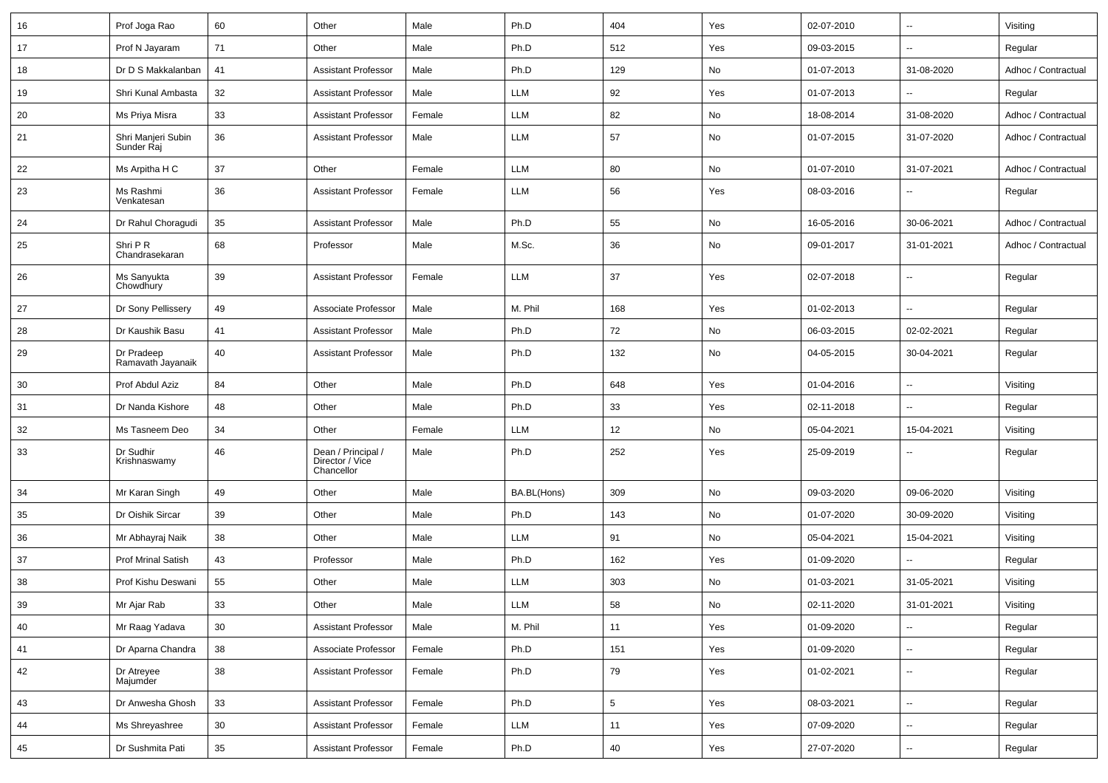| 16 | Prof Joga Rao                    | 60              | Other                                               | Male   | Ph.D                        | 404             | Yes | 02-07-2010 | $\sim$                   | Visiting            |
|----|----------------------------------|-----------------|-----------------------------------------------------|--------|-----------------------------|-----------------|-----|------------|--------------------------|---------------------|
| 17 | Prof N Jayaram                   | 71              | Other                                               | Male   | Ph.D                        | 512             | Yes | 09-03-2015 | $\sim$                   | Regular             |
| 18 | Dr D S Makkalanban               | 41              | <b>Assistant Professor</b>                          | Male   | Ph.D                        | 129             | No  | 01-07-2013 | 31-08-2020               | Adhoc / Contractual |
| 19 | Shri Kunal Ambasta               | 32              | <b>Assistant Professor</b>                          | Male   | LLM                         | 92              | Yes | 01-07-2013 | $\sim$                   | Regular             |
| 20 | Ms Priya Misra                   | 33              | <b>Assistant Professor</b>                          | Female | LLM                         | 82              | No  | 18-08-2014 | 31-08-2020               | Adhoc / Contractual |
| 21 | Shri Manjeri Subin<br>Sunder Raj | 36              | <b>Assistant Professor</b>                          | Male   | LLM                         | 57              | No  | 01-07-2015 | 31-07-2020               | Adhoc / Contractual |
| 22 | Ms Arpitha H C                   | 37              | Other                                               | Female | LLM                         | 80              | No  | 01-07-2010 | 31-07-2021               | Adhoc / Contractual |
| 23 | Ms Rashmi<br>Venkatesan          | 36              | <b>Assistant Professor</b>                          | Female | LLM                         | 56              | Yes | 08-03-2016 | $\overline{\phantom{a}}$ | Regular             |
| 24 | Dr Rahul Choragudi               | 35              | <b>Assistant Professor</b>                          | Male   | Ph.D                        | 55              | No  | 16-05-2016 | 30-06-2021               | Adhoc / Contractual |
| 25 | Shri P R<br>Chandrasekaran       | 68              | Professor                                           | Male   | M.Sc.                       | 36              | No  | 09-01-2017 | 31-01-2021               | Adhoc / Contractual |
| 26 | Ms Sanyukta<br>Chowdhury         | 39              | <b>Assistant Professor</b>                          | Female | LLM                         | 37              | Yes | 02-07-2018 | $\overline{\phantom{a}}$ | Regular             |
| 27 | Dr Sony Pellissery               | 49              | Associate Professor                                 | Male   | M. Phil                     | 168             | Yes | 01-02-2013 | $\sim$                   | Regular             |
| 28 | Dr Kaushik Basu                  | 41              | <b>Assistant Professor</b>                          | Male   | Ph.D                        | 72              | No  | 06-03-2015 | 02-02-2021               | Regular             |
| 29 | Dr Pradeep<br>Ramavath Jayanaik  | 40              | <b>Assistant Professor</b>                          | Male   | Ph.D                        | 132             | No  | 04-05-2015 | 30-04-2021               | Regular             |
| 30 | Prof Abdul Aziz                  | 84              | Other                                               | Male   | Ph.D                        | 648             | Yes | 01-04-2016 | $\sim$                   | Visiting            |
| 31 | Dr Nanda Kishore                 | 48              | Other                                               | Male   | Ph.D                        | 33              | Yes | 02-11-2018 | $\overline{\phantom{a}}$ | Regular             |
| 32 | Ms Tasneem Deo                   | 34              | Other                                               | Female | LLM                         | 12              | No  | 05-04-2021 | 15-04-2021               | Visiting            |
| 33 | Dr Sudhir<br>Krishnaswamy        | 46              | Dean / Principal /<br>Director / Vice<br>Chancellor | Male   | Ph.D                        | 252             | Yes | 25-09-2019 | $\overline{\phantom{a}}$ | Regular             |
| 34 | Mr Karan Singh                   | 49              | Other                                               | Male   | BA.BL(Hons)                 | 309             | No  | 09-03-2020 | 09-06-2020               | Visiting            |
| 35 | Dr Oishik Sircar                 | 39              | Other                                               | Male   | Ph.D                        | 143             | No  | 01-07-2020 | 30-09-2020               | Visiting            |
| 36 | Mr Abhayraj Naik                 | 38              | Other                                               | Male   | LLM                         | 91              | No  | 05-04-2021 | 15-04-2021               | Visiting            |
| 37 | <b>Prof Mrinal Satish</b>        | 43              | Professor                                           | Male   | Ph.D                        | 162             | Yes | 01-09-2020 |                          | Regular             |
| 38 | Prof Kishu Deswani               | 55              | Other                                               | Male   | LLM                         | 303             | No  | 01-03-2021 | 31-05-2021               | Visiting            |
| 39 | Mr Ajar Rab                      | $33\,$          | Other                                               | Male   | $\ensuremath{\mathsf{LLM}}$ | 58              | No  | 02-11-2020 | 31-01-2021               | Visiting            |
| 40 | Mr Raag Yadava                   | 30              | <b>Assistant Professor</b>                          | Male   | M. Phil                     | 11              | Yes | 01-09-2020 | $\sim$                   | Regular             |
| 41 | Dr Aparna Chandra                | 38              | Associate Professor                                 | Female | Ph.D                        | 151             | Yes | 01-09-2020 | $\overline{\phantom{a}}$ | Regular             |
| 42 | Dr Atreyee<br>Majumder           | 38              | <b>Assistant Professor</b>                          | Female | Ph.D                        | 79              | Yes | 01-02-2021 | $\overline{\phantom{a}}$ | Regular             |
| 43 | Dr Anwesha Ghosh                 | 33              | <b>Assistant Professor</b>                          | Female | Ph.D                        | $5\phantom{.0}$ | Yes | 08-03-2021 | $\sim$                   | Regular             |
| 44 | Ms Shreyashree                   | 30 <sup>°</sup> | <b>Assistant Professor</b>                          | Female | LLM                         | 11              | Yes | 07-09-2020 | $\overline{\phantom{a}}$ | Regular             |
| 45 | Dr Sushmita Pati                 | $35\,$          | <b>Assistant Professor</b>                          | Female | Ph.D                        | 40              | Yes | 27-07-2020 | $\overline{\phantom{a}}$ | Regular             |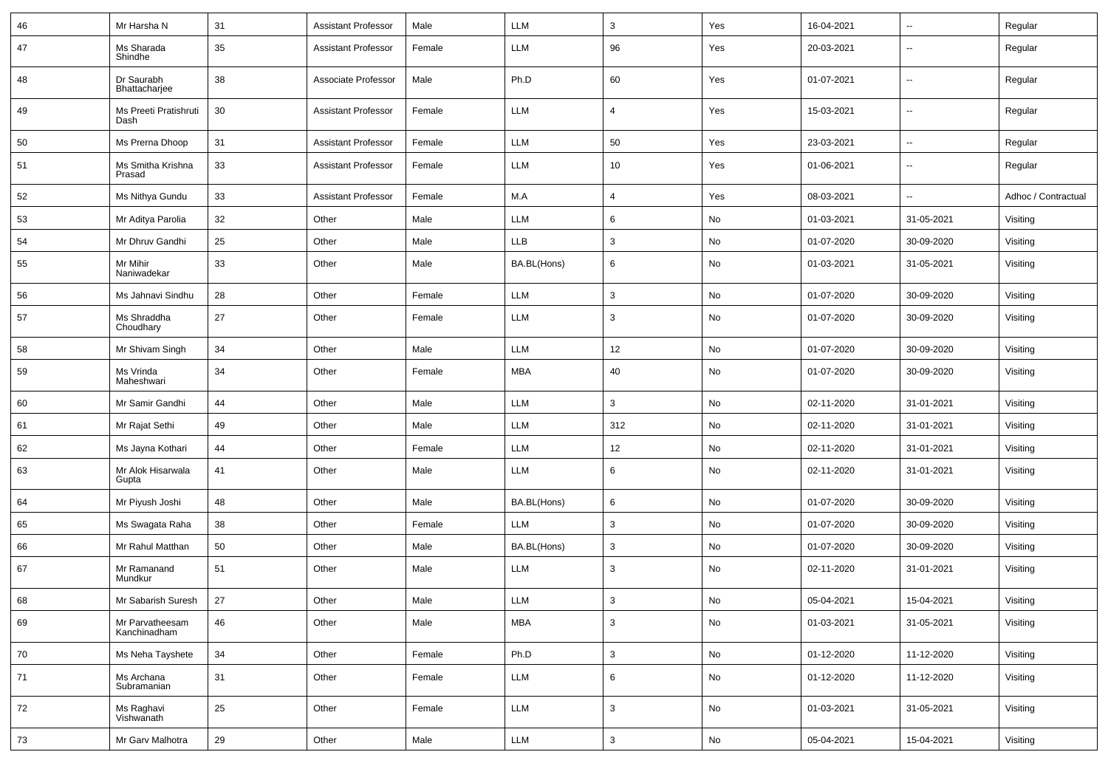| 46 | Mr Harsha N                     | 31 | <b>Assistant Professor</b> | Male   | LLM         | 3               | Yes           | 16-04-2021 | $\overline{\phantom{a}}$ | Regular             |
|----|---------------------------------|----|----------------------------|--------|-------------|-----------------|---------------|------------|--------------------------|---------------------|
| 47 | Ms Sharada<br>Shindhe           | 35 | <b>Assistant Professor</b> | Female | LLM         | 96              | Yes           | 20-03-2021 | ÷.                       | Regular             |
| 48 | Dr Saurabh<br>Bhattacharjee     | 38 | Associate Professor        | Male   | Ph.D        | 60              | Yes           | 01-07-2021 | $\sim$                   | Regular             |
| 49 | Ms Preeti Pratishruti<br>Dash   | 30 | <b>Assistant Professor</b> | Female | LLM         | $\overline{4}$  | Yes           | 15-03-2021 | $\overline{\phantom{a}}$ | Regular             |
| 50 | Ms Prerna Dhoop                 | 31 | <b>Assistant Professor</b> | Female | LLM         | 50              | Yes           | 23-03-2021 | ÷.                       | Regular             |
| 51 | Ms Smitha Krishna<br>Prasad     | 33 | <b>Assistant Professor</b> | Female | LLM         | 10 <sub>1</sub> | Yes           | 01-06-2021 | $\overline{\phantom{a}}$ | Regular             |
| 52 | Ms Nithya Gundu                 | 33 | <b>Assistant Professor</b> | Female | M.A         | $\overline{4}$  | Yes           | 08-03-2021 | $\overline{\phantom{a}}$ | Adhoc / Contractual |
| 53 | Mr Aditya Parolia               | 32 | Other                      | Male   | LLM         | 6               | No            | 01-03-2021 | 31-05-2021               | Visiting            |
| 54 | Mr Dhruv Gandhi                 | 25 | Other                      | Male   | <b>LLB</b>  | 3               | No            | 01-07-2020 | 30-09-2020               | Visiting            |
| 55 | Mr Mihir<br>Naniwadekar         | 33 | Other                      | Male   | BA.BL(Hons) | 6               | No            | 01-03-2021 | 31-05-2021               | Visiting            |
| 56 | Ms Jahnavi Sindhu               | 28 | Other                      | Female | LLM         | 3               | No            | 01-07-2020 | 30-09-2020               | Visiting            |
| 57 | Ms Shraddha<br>Choudhary        | 27 | Other                      | Female | LLM         | $\mathbf{3}$    | No            | 01-07-2020 | 30-09-2020               | Visiting            |
| 58 | Mr Shivam Singh                 | 34 | Other                      | Male   | LLM         | 12              | No            | 01-07-2020 | 30-09-2020               | Visiting            |
| 59 | Ms Vrinda<br>Maheshwari         | 34 | Other                      | Female | MBA         | 40              | No            | 01-07-2020 | 30-09-2020               | Visiting            |
| 60 | Mr Samir Gandhi                 | 44 | Other                      | Male   | LLM         | $\mathbf{3}$    | No            | 02-11-2020 | 31-01-2021               | Visiting            |
| 61 | Mr Rajat Sethi                  | 49 | Other                      | Male   | LLM         | 312             | No            | 02-11-2020 | 31-01-2021               | Visiting            |
| 62 | Ms Jayna Kothari                | 44 | Other                      | Female | LLM         | 12              | No            | 02-11-2020 | 31-01-2021               | Visiting            |
| 63 | Mr Alok Hisarwala<br>Gupta      | 41 | Other                      | Male   | LLM         | 6               | No            | 02-11-2020 | 31-01-2021               | Visiting            |
| 64 | Mr Piyush Joshi                 | 48 | Other                      | Male   | BA.BL(Hons) | 6               | No            | 01-07-2020 | 30-09-2020               | Visiting            |
| 65 | Ms Swagata Raha                 | 38 | Other                      | Female | LLM         | 3               | No            | 01-07-2020 | 30-09-2020               | Visiting            |
| 66 | Mr Rahul Matthan                | 50 | Other                      | Male   | BA.BL(Hons) | $\mathbf{3}$    | No            | 01-07-2020 | 30-09-2020               | Visiting            |
| 67 | Mr Ramanand<br>Mundkur          | 51 | Other                      | Male   | LLM         | 3               | No            | 02-11-2020 | 31-01-2021               | Visiting            |
| 68 | Mr Sabarish Suresh              | 27 | Other                      | Male   | <b>LLM</b>  | 3               | No            | 05-04-2021 | 15-04-2021               | Visiting            |
| 69 | Mr Parvatheesam<br>Kanchinadham | 46 | Other                      | Male   | <b>MBA</b>  | $\mathbf{3}$    | No            | 01-03-2021 | 31-05-2021               | Visiting            |
| 70 | Ms Neha Tayshete                | 34 | Other                      | Female | Ph.D        | $\mathbf{3}$    | No            | 01-12-2020 | 11-12-2020               | Visiting            |
| 71 | Ms Archana<br>Subramanian       | 31 | Other                      | Female | LLM         | 6               | No            | 01-12-2020 | 11-12-2020               | Visiting            |
| 72 | Ms Raghavi<br>Vishwanath        | 25 | Other                      | Female | LLM         | $\mathbf{3}$    | No            | 01-03-2021 | 31-05-2021               | Visiting            |
| 73 | Mr Garv Malhotra                | 29 | Other                      | Male   | LLM         | $\mathbf{3}$    | $\mathsf{No}$ | 05-04-2021 | 15-04-2021               | Visiting            |